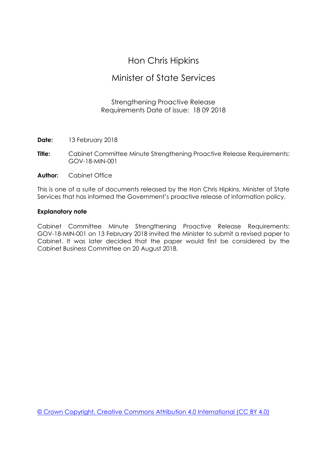# Hon Chris Hipkins

# Minister of State Services

## Strengthening Proactive Release Requirements Date of issue: 18 09 2018

- **Date:** 13 February 2018
- **Title:** Cabinet Committee Minute Strengthening Proactive Release Requirements: GOV-18-MIN-001
- **Author:** Cabinet Office

This is one of a suite of documents released by the Hon Chris Hipkins, Minister of State Services that has informed the Government's proactive release of information policy.

## **Explanatory note**

Cabinet Committee Minute Strengthening Proactive Release Requirements: GOV-18-MIN-001 on 13 February 2018 invited the Minister to submit a revised paper to Cabinet. It was later decided that the paper would first be considered by the Cabinet Business Committee on 20 August 2018.